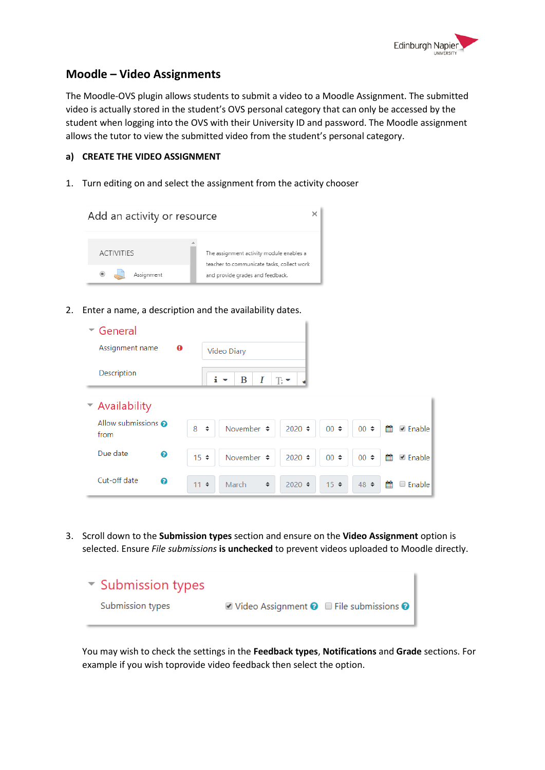

## **Moodle – Video Assignments**

The Moodle-OVS plugin allows students to submit a video to a Moodle Assignment. The submitted video is actually stored in the student's OVS personal category that can only be accessed by the student when logging into the OVS with their University ID and password. The Moodle assignment allows the tutor to view the submitted video from the student's personal category.

## **a) CREATE THE VIDEO ASSIGNMENT**

1. Turn editing on and select the assignment from the activity chooser



2. Enter a name, a description and the availability dates.

| $\sim$ General              |                                                          |                          |                                   |  |  |  |
|-----------------------------|----------------------------------------------------------|--------------------------|-----------------------------------|--|--|--|
| Assignment name<br>$\bf{o}$ | Video Diary                                              |                          |                                   |  |  |  |
| Description                 | i<br>B<br>Ι<br>$\mathbb{R}^+$<br>$\overline{\mathbf{v}}$ |                          |                                   |  |  |  |
| $\sim$ Availability         |                                                          |                          |                                   |  |  |  |
| Allow submissions @<br>from | 8<br>$\div$<br>November $\div$                           | $2020 \div$<br>$00 \div$ | 雦<br>$00 \div$<br><b>Ø</b> Enable |  |  |  |
| Due date<br>ℯ               | November $\div$<br>$15 \div$                             | $2020 \div$<br>$00 \div$ | ₩<br><b>■</b> Enable<br>$00 \div$ |  |  |  |
| Cut-off date<br>ℯ           | $11 \div$<br>$\div$<br>March                             | $2020 \div$<br>$15 \div$ | 鱛<br><b>Enable</b><br>$48 \div$   |  |  |  |

3. Scroll down to the **Submission types** section and ensure on the **Video Assignment** option is selected. Ensure *File submissions* **is unchecked** to prevent videos uploaded to Moodle directly.

| Submission types |                                                                                               |  |
|------------------|-----------------------------------------------------------------------------------------------|--|
| Submission types | $\blacksquare$ Video Assignment $\blacksquare$ $\blacksquare$ File submissions $\blacksquare$ |  |

You may wish to check the settings in the **Feedback types**, **Notifications** and **Grade** sections. For example if you wish toprovide video feedback then select the option.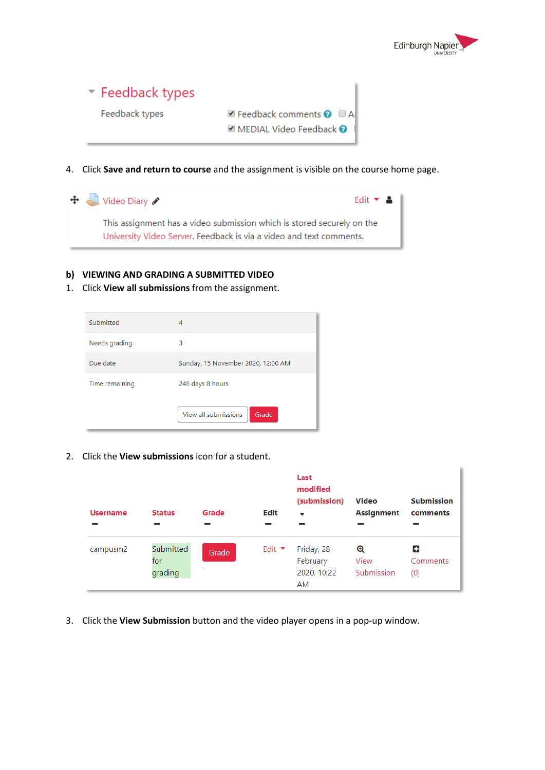

| $\blacktriangleright$ Feedback types |                                                                                                |
|--------------------------------------|------------------------------------------------------------------------------------------------|
| Feedback types                       | $\blacksquare$ Feedback comments $\blacksquare$ $\blacksquare$ Al<br>■ MEDIAL Video Feedback ● |

4. Click **Save and return to course** and the assignment is visible on the course home page.

| $\bigoplus$ Video Diary                                                                                                                       | Edit $\bullet$ <b>&amp;</b> |
|-----------------------------------------------------------------------------------------------------------------------------------------------|-----------------------------|
| This assignment has a video submission which is stored securely on the<br>University Video Server. Feedback is via a video and text comments. |                             |

## **b) VIEWING AND GRADING A SUBMITTED VIDEO**

1. Click **View all submissions** from the assignment.

| Submitted      | 4                                  |  |
|----------------|------------------------------------|--|
| Needs grading  | 3                                  |  |
| Due date       | Sunday, 15 November 2020, 12:00 AM |  |
| Time remaining | 248 days 8 hours                   |  |
|                | View all submissions<br>Grade      |  |

2. Click the **View submissions** icon for a student.

| <b>Username</b> | <b>Status</b>               | Grade      | Edit                      | Last<br>modified<br>(submission)<br>$\overline{\phantom{a}}$ | <b>Video</b><br>Assignment | <b>Submission</b><br>comments |
|-----------------|-----------------------------|------------|---------------------------|--------------------------------------------------------------|----------------------------|-------------------------------|
| campusm2        | Submitted<br>for<br>grading | Grade<br>۰ | Edit $\blacktriangledown$ | Friday, 28<br>February<br>2020, 10:22<br>AM                  | Q<br>View<br>Submission    | Ф<br>Comments<br>(0)          |

3. Click the **View Submission** button and the video player opens in a pop-up window.